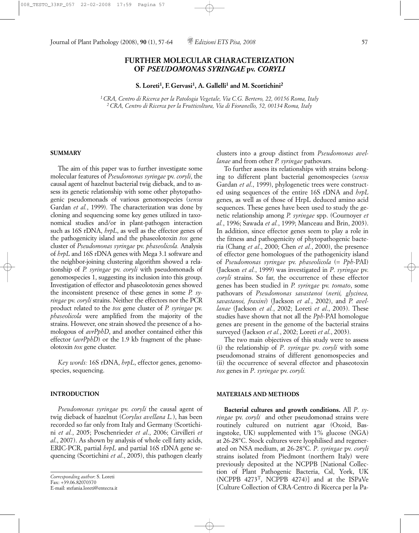# **FURTHER MOLECULAR CHARACTERIZATION OF** *PSEUDOMONAS SYRINGAE* **pv.** *CORYLI*

**S. Loreti1, F. Gervasi1, A. Gallelli1 and M. Scortichini2**

*1 CRA, Centro di Ricerca per la Patologia Vegetale, Via C.G. Bertero, 22, 00156 Roma, Italy 2 CRA, Centro di Ricerca per la Frutticoltura, Via di Fioranello, 52, 00134 Roma, Italy*

#### **SUMMARY**

The aim of this paper was to further investigate some molecular features of *Pseudomonas syringae* pv. *coryli*, the causal agent of hazelnut bacterial twig dieback, and to assess its genetic relationship with some other phytopathogenic pseudomonads of various genomospecies (*sensu* Gardan *et al.*, 1999). The characterization was done by cloning and sequencing some key genes utilized in taxonomical studies and/or in plant-pathogen interaction such as 16S rDNA, *hrpL*, as well as the effector genes of the pathogenicity island and the phaseolotoxin *tox* gene cluster of *Pseudomonas syringae* pv. *phaseolicola.* Analysis of *hrpL* and 16S rDNA genes with Mega 3.1 software and the neighbor-joining clustering algorithm showed a relationship of *P. syringae* pv. *coryli* with pseudomonads of genomospecies 1, suggesting its inclusion into this group. Investigation of effector and phaseolotoxin genes showed the inconsistent presence of these genes in some *P. syringae* pv. *coryli* strains. Neither the effectors nor the PCR product related to the *tox* gene cluster of *P. syringae* pv. *phaseolicola* were amplified from the majority of the strains. However, one strain showed the presence of a homologous of *avrPphD*, and another contained either this effector (*avrPphD*) or the 1.9 kb fragment of the phaseolotoxin *tox* gene cluster.

*Key words:* 16S rDNA, *hrpL*, effector genes, genomospecies, sequencing.

#### **INTRODUCTION**

*Pseudomonas syringae* pv. *coryli* the causal agent of twig dieback of hazelnut (*Corylus avellana L.*), has been recorded so far only from Italy and Germany (Scortichini *et al.*, 2005; Poschenrieder *et al*., 2006; Cirvilleri *et al*., 2007). As shown by analysis of whole cell fatty acids, ERIC-PCR, partial *hrpL* and partial 16S rDNA gene sequencing (Scortichini *et al*., 2005), this pathogen clearly clusters into a group distinct from *Pseudomonas avellanae* and from other *P. syringae* pathovars.

To further assess its relationships with strains belonging to different plant bacterial genomospecies (*sensu* Gardan *et al*., 1999), phylogenetic trees were constructed using sequences of the entire 16S rDNA and *hrpL* genes, as well as of those of HrpL deduced amino acid sequences. These genes have been used to study the genetic relationship among *P. syringae* spp. (Cournoyer *et al.*, 1996; Sawada *et al.*, 1999; Manceau and Brin, 2003). In addition, since effector genes seem to play a role in the fitness and pathogenicity of phytopathogenic bacteria (Chang *et al*., 2000; Chen *et al.*, 2000), the presence of effector gene homologues of the pathogenicity island of *Pseudomonas syringae* pv. *phaseolicola* (*= Pph*-PAI) (Jackson *et al.*, 1999) was investigated in *P*. *syringae* pv. *coryli* strains. So far, the occurrence of these effector genes has been studied in *P. syringae* pv. *tomato*, some pathovars of *Pseudomonas savastanoi* (*nerii, glycinea, savastanoi, fraxini*) (Jackson *et al.*, 2002), and *P. avellanae* (Jackson *et al.*, 2002; Loreti *et al*., 2003). These studies have shown that not all the *Pph*-PAI homologue genes are present in the genome of the bacterial strains surveyed (Jackson *et al.*, 2002; Loreti *et al*., 2003).

The two main objectives of this study were to assess (i) the relationship of *P*. *syringae* pv. *coryli* with some pseudomonad strains of different genomospecies and (ii) the occurrence of several effector and phaseotoxin *tox* genes in *P*. *syringae* pv. *coryli.*

### **MATERIALS AND METHODS**

**Bacterial cultures and growth conditions.** All *P*. *syringae* pv. *coryli* and other pseudomonad strains were routinely cultured on nutrient agar (Oxoid, Basingstoke, UK) supplemented with 1% glucose (NGA) at 26-28°C. Stock cultures were lyophilised and regenerated on NSA medium, at 26-28°C. *P*. *syringae* pv. *coryli* strains isolated from Piedmont (northern Italy) were previously deposited at the NCPPB [National Collection of Plant Pathogenic Bacteria, Csl, York, UK (NCPPB 4273T, NCPPB 4274)] and at the ISPaVe [Culture Collection of CRA-Centro di Ricerca per la Pa-

*Corresponding author*: S. Loreti Fax: +39.06.82070370 E-mail: stefania.loreti@entecra.it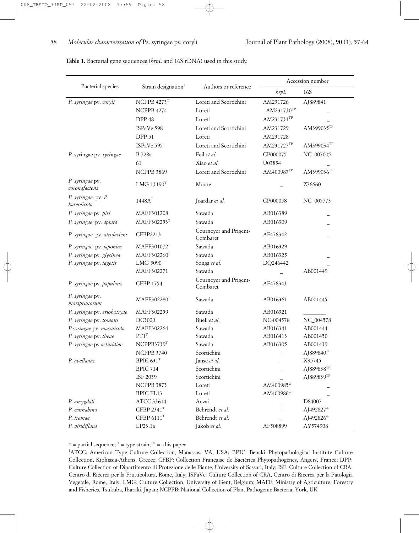|                                   | Strain designation <sup>1</sup> | Authors or reference               | Accession number |                        |
|-----------------------------------|---------------------------------|------------------------------------|------------------|------------------------|
| Bacterial species                 |                                 |                                    | $b$ rp $L$       | 16S                    |
| P. syringae pv. coryli            | NCPPB $4273$ <sup>T</sup>       | Loreti and Scortichini             | AM231726         | AJ889841               |
|                                   | NCPPB 4274                      | Loreti                             | AM231730TP       |                        |
|                                   | DPP 48                          | Loreti                             | AM231731TP       |                        |
|                                   | ISPaVe 598                      | Loreti and Scortichini             | AM231729         | AM399035TP             |
|                                   | <b>DPP 51</b>                   | Loreti                             | AM231728         |                        |
|                                   | ISPaVe 595                      | Loreti and Scortichini             | AM231727TP       | AM399034TP             |
| P. syringae pv. syringae          | B 728a                          | Feil et al.                        | CP000075         | NC_007005              |
|                                   | 61                              | Xiao et al.                        | U03854           |                        |
|                                   | NCPPB 3869                      | Loreti and Scortichini             | AM400987TP       | AM399036TP             |
| P syringae pv.<br>coronafaciens   | LMG 13190 <sup>T</sup>          | Moore                              |                  | Z76660                 |
| P. syringae. pv. P<br>haseolicola | 1448A <sup>T</sup>              | Joardar et al.                     | CP000058         | NC_005773              |
| P. syringae pv. pisi              | MAFF301208                      | Sawada                             | AB016389         |                        |
| P. syringae pv. aptata            | MAFF302253T                     | Sawada                             | AB016309         |                        |
| P. syringae. pv. atrofaciens      | CFBP2213                        | Cournoyer and Prigent-<br>Combaret | AF478342         |                        |
| P. syringae pv. japonica          | MAFF301072T                     | Sawada                             | AB016329         |                        |
| P. syringae pv. glycinea          | MAFF302260T                     | Sawada                             | AB016325         |                        |
| P. syringae pv. tagetis           | LMG 5090                        | Songs et al.                       | DQ246442         |                        |
|                                   | MAFF302271                      | Sawada                             |                  | AB001449               |
| P. syringae pv. papulans          | <b>CFBP 1754</b>                | Cournoyer and Prigent-<br>Combaret | AF478343         |                        |
| P. syringae pv.<br>morsprunorum   | MAFF302280T                     | Sawada                             | AB016361         | AB001445               |
| P. syringae pv. eriobotryae       | MAFF302259                      | Sawada                             | AB016321         |                        |
| P. syringae pv. tomato            | DC3000                          | Buell et al.                       | NC-004578        | NC_004578              |
| P.syringae pv. maculicola         | MAFF302264                      | Sawada                             | AB016341         | AB001444               |
| P. syringae pv. theae             | $PT1^T$                         | Sawada                             | AB016413         | AB001450               |
| P. syringae pv actinidiae         | NCPPB3739T                      | Sawada                             | AB016305         | AB001439               |
|                                   | NCPPB 3740                      | Scortichini                        |                  | AJ889840TP             |
| P. avellanae                      | BPIC 631 <sup>T</sup>           | Janse et al.                       |                  | X95745                 |
|                                   | <b>BPIC 714</b>                 | Scortichini                        |                  | AJ889838 <sup>TP</sup> |
|                                   | ISF 2059                        | Scortichini                        |                  | AJ889839TP             |
|                                   | NCPPB 3873                      | Loreti                             | AM400985*        |                        |
|                                   | BPIC FL13                       | Loreti                             | AM400986*        |                        |
| P. amygdali                       | ATCC 33614                      | Anzai                              |                  | D84007                 |
| P. cannabina                      | CFBP 2341 <sup>T</sup>          | Behrendt et al.                    |                  | AJ492827*              |
| P. tremae                         | CFBP 6111 <sup>T</sup>          | Behrendt et al.                    |                  | AJ492826*              |
| P. viridiflava                    | LP23.1a                         | Jakob et al.                       | AF508899         | AY574908               |

**Table 1.** Bacterial gene sequences (*hrpL* and 16S rDNA) used in this study.

\* = partial sequence;  $T =$  type strain;  $TP =$  this paper

<sup>1</sup>ATCC: American Type Culture Collection, Manassas, VA, USA; BPIC: Benaki Phytopathological Institute Culture Collection, Kiphissia-Athens, Greece; CFBP: Collection Francaise de Bactéries Phytopathogénes, Angers, France; DPP: Culture Collection of Dipartimento di Protezione delle Piante, University of Sassari, Italy; ISF: Culture Collection of CRA, Centro di Ricerca per la Frutticoltura, Rome, Italy; ISPaVe: Culture Collection of CRA, Centro di Ricerca per la Patologia Vegetale, Rome, Italy; LMG: Culture Collection, University of Gent, Belgium; MAFF: Ministry of Agriculture, Forestry and Fisheries, Tsukuba, Ibaraki, Japan; NCPPB: National Collection of Plant Pathogenic Bacteria, York, UK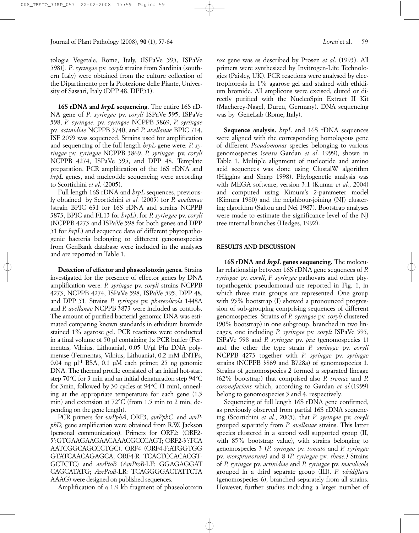tologia Vegetale, Rome, Italy, (ISPaVe 595, ISPaVe 598)]. *P*. *syringae* pv. *coryli* strains from Sardinia (southern Italy) were obtained from the culture collection of the Dipartimento per la Protezione delle Piante, University of Sassari, Italy (DPP 48, DPP51).

**16S rDNA and** *hrpL* **sequencing**. The entire 16S rD-NA gene of *P*. *syringae* pv. *coryli* ISPaVe 595, ISPaVe 598, *P. syringae.* pv. *syringae* NCPPB 3869, *P. syringae* pv*. actinidiae* NCPPB 3740, and *P. avellanae* BPIC 714, ISF 2059 was sequenced. Strains used for amplification and sequencing of the full length *hrpL* gene were: *P. syringae* pv. *syringae* NCPPB 3869, *P. syringae.* pv. *coryli* NCPPB 4274, ISPaVe 595, and DPP 48. Template preparation, PCR amplification of the 16S rDNA and *hrpL* genes, and nucleotide sequencing were according to Scortichini *et al.* (2005).

Full length 16S rDNA and *hrpL* sequences, previously obtained by Scortichini *et al.* (2005) for *P. avellanae* (strain BPIC 631 for 16S rDNA and strains NCPPB 3873, BPIC and FL13 for *hrpL*), for *P. syringae* pv. *coryli* (NCPPB 4273 and ISPaVe 598 for both genes and DPP 51 for *hrpL*) and sequence data of different phytopathogenic bacteria belonging to different genomospecies from GenBank database were included in the analyses and are reported in Table 1.

**Detection of effector and phaseolotoxin genes.** Strains investigated for the presence of effector genes by DNA amplification were: *P. syringae* pv. *coryli* strains NCPPB 4273, NCPPB 4274, ISPaVe 598, ISPaVe 595, DPP 48, and DPP 51. Strains *P. syringae* pv. *phaseolicola* 1448A and *P. avellanae* NCPPB 3873 were included as controls. The amount of purified bacterial genomic DNA was estimated comparing known standards in ethidium bromide stained 1% agarose gel. PCR reactions were conducted in a final volume of 50 µl containing 1x PCR buffer (Fermentas, Vilnius, Lithuania), 0.05 U/µl Pfu DNA polymerase (Fermentas, Vilnius, Lithuania), 0.2 mM dNTPs, 0.04 ng  $\mu$ l<sup>-1</sup> BSA, 0.1  $\mu$ M each primer, 25 ng genomic DNA. The thermal profile consisted of an initial hot-start step 70°C for 3 min and an initial denaturation step 94°C for 3min, followed by 30 cycles at 94°C (1 min), annealing at the appropriate temperature for each gene (1.5 min) and extension at 72°C (from 1.5 min to 2 min, depending on the gene length).

PCR primers for *virPphA*, ORF3, *avrPphC,* and *avrPphD,* gene amplification were obtained from R.W. Jackson (personal communication). Primers for ORF2: (ORF2- 5':GTGAAGAAGAACAAACGCCCAGT; ORF2-3':TCA AATCGGCAGCCCTGC), ORF4 (ORF4-F:ATGGTGG GTATCAACAGAGCA; ORF4-R: TCACTCCACACGT-GCTCTC) and *avrPtoB* (*AvrPtoB*-LF: GGAGAGGAT CAGCATATG; *AvrPtoB*-LR: TCAGGGGACTATTCTA AAAG) were designed on published sequences.

Amplification of a 1.9 kb fragment of phaseolotoxin

*tox* gene was as described by Prosen *et al*. (1993). All primers were synthesized by Invitrogen-Life Technologies (Paisley, UK). PCR reactions were analysed by electrophoresis in 1% agarose gel and stained with ethidium bromide. All amplicons were excised, eluted or directly purified with the NucleoSpin Extract II Kit (Macherey-Nagel, Duren, Germany). DNA sequencing was by GeneLab (Rome, Italy).

**Sequence analysis.** *hrpL* and 16S rDNA sequences were aligned with the corresponding homologous gene of different *Pseudomonas* species belonging to various genomospecies (*sensu* Gardan *et al*. 1999), shown in Table 1. Multiple alignment of nucleotide and amino acid sequences was done using ClustalW algorithm (Higgins and Sharp 1998). Phylogenetic analysis was with MEGA software, version 3.1 (Kumar *et al.*, 2004) and computed using Kimura's 2-parameter model (Kimura 1980) and the neighbour-joining (NJ) clustering algorithm (Saitou and Nei 1987). Bootstrap analyses were made to estimate the significance level of the NJ tree internal branches (Hedges, 1992).

### **RESULTS AND DISCUSSION**

**16S rDNA and** *hrpL* **genes sequencing.** The molecular relationship between 16S rDNA gene sequences of *P. syringae* pv. *coryli*, *P. syringae* pathovars and other phytopathogenic pseudomonad are reported in Fig. 1, in which three main groups are represented. One group with 95% bootstrap (I) showed a pronounced progression of sub-grouping comprising sequences of different genomospecies. Strains of *P. syringae* pv. *coryli* clustered (90% bootstrap) in one subgroup, branched in two lineages, one including *P. syringae* pv. *coryli* ISPaVe 595, ISPaVe 598 and *P. syringae* pv. *pisi* (genomospecies 1) and the other the type strain *P. syringae* pv. *coryli* NCPPB 4273 together with *P. syringae* pv. *syringae* strains (NCPPB 3869 and B728a) of genomospecies 1. Strains of genomospecies 2 formed a separated lineage (62% bootstrap) that comprised also *P. tremae* and *P. coronafaciens* which, according to Gardan *et al.*(1999) belong to genomospecies 5 and 4, respectively.

Sequencing of full length 16S rDNA gene confirmed, as previously observed from partial 16S rDNA sequencing (Scortichini *et al.*, 2005), that *P. syringae* pv. *coryli* grouped separately from *P. avellanae* strains. This latter species clustered in a second well supported group (II, with 85% bootstrap value), with strains belonging to genomospecies 3 (*P. syringae* pv. *tomato* and *P. syringae* pv. *morsprunorum)* and 8 (*P. syringae* pv*. theae.)* Strains of *P. syringae* pv. *actinidiae* and *P. syringae* pv. *maculicola* grouped in a third separate group (III). *P. viridiflava* (genomospecies 6), branched separately from all strains. However, further studies including a larger number of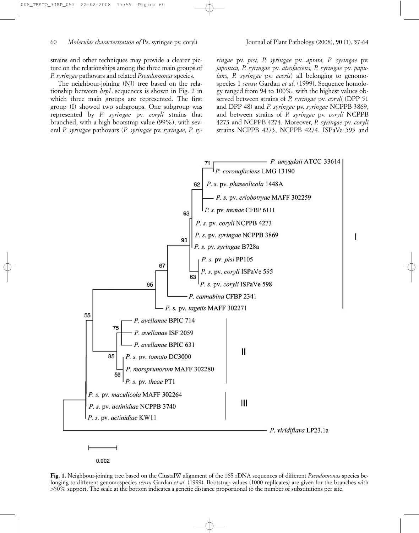strains and other techniques may provide a clearer picture on the relationships among the three main groups of *P. syringae* pathovars and related *Pseudomonas* species.

The neighbour-joining (NJ) tree based on the relationship between *hrpL* sequences is shown in Fig. 2 in which three main groups are represented. The first group (I) showed two subgroups. One subgroup was represented by *P. syringae* pv. *coryli* strains that branched, with a high bootstrap value (99%), with several *P. syringae* pathovars (*P. syringae* pv. *syringae, P. sy-*

*ringae* pv. *pisi, P. syringae* pv. *aptata, P. syringae* pv. *japonica, P. syringae* pv. *atrofaciens, P. syringae* pv. *papulans, P. syringae* pv. *aceris*) all belonging to genomospecies 1 *sensu* Gardan *et al*. (1999). Sequence homology ranged from 94 to 100%, with the highest values observed between strains of *P. syringae* pv. *coryli* (DPP 51 and DPP 48) and *P. syringae* pv. *syringae* NCPPB 3869, and between strains of *P. syringae* pv. *coryli* NCPPB 4273 and NCPPB 4274. Moreover, *P. syringae* pv. *coryli* strains NCPPB 4273, NCPPB 4274, ISPaVe 595 and



**Fig. 1.** Neighbour-joining tree based on the ClustalW alignment of the 16S rDNA sequences of different *Pseudomonas* species belonging to different genomospecies *sensu* Gardan *et al.* (1999). Bootstrap values (1000 replicates) are given for the branches with >50% support. The scale at the bottom indicates a genetic distance proportional to the number of substitutions per site.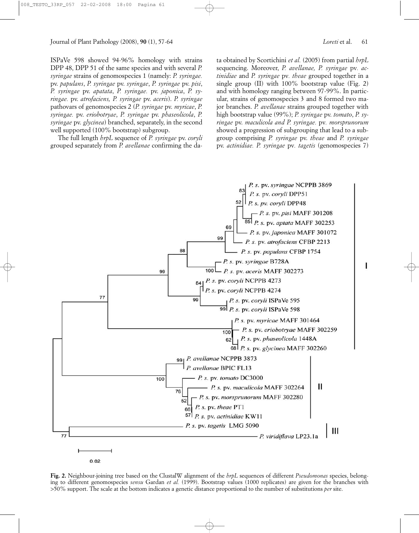ISPaVe 598 showed 94-96% homology with strains DPP 48, DPP 51 of the same species and with several *P. syringae* strains of genomospecies 1 (namely: *P. syringae.* pv. *papulans*, *P. syringae* pv. *syringae*, *P. syringae* pv. *pisi*, *P. syringae* pv. *apatata*, *P. syringae.* pv. *japonica*, *P. syringae.* pv. *atrofaciens, P. syringae* pv. *aceris*). *P. syringae* pathovars of genomospecies 2 (*P. syringae* pv. *myricae*, *P. syringae.* pv. *eriobotryae*, *P. syringae* pv. *phaseolicola*, *P. syringae* pv. *glycinea*) branched, separately, in the second well supported (100% bootstrap) subgroup.

The full length *hrpL* sequence of *P. syringae* pv. *coryli* grouped separately from *P. avellanae* confirming the data obtained by Scortichini *et al.* (2005) from partial *hrpL* sequencing. Moreover, *P. avellanae, P. syringae* pv*. actinidiae* and *P. syringae* pv*. theae* grouped together in a single group (II) with 100% bootstrap value (Fig. 2) and with homology ranging between 97-99%. In particular, strains of genomospecies 3 and 8 formed two major branches. *P. avellanae* strains grouped together with high bootstrap value (99%); *P. syringae* pv. *tomato*, *P. syringae* pv. *maculicola and P. syringae.* pv*. morsprunorum* showed a progression of subgrouping that lead to a subgroup comprising *P. syringae* pv. *theae* and *P. syringae* pv. *actinidiae. P. syringae* pv*. tagetis* (genomospecies 7)



**Fig. 2.** Neighbour-joining tree based on the ClustalW alignment of the *hrpL* sequences of different *Pseudomonas* species, belonging to different genomospecies *sensu* Gardan *et al.* (1999). Bootstrap values (1000 replicates) are given for the branches with >50% support. The scale at the bottom indicates a genetic distance proportional to the number of substitutions *per* site.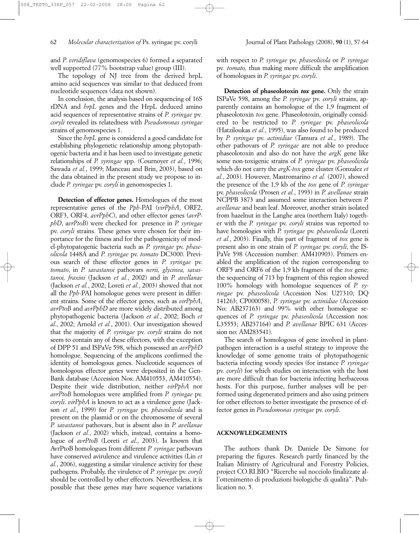and *P. viridiflava* (genomospecies 6) formed a separated well supported (77% bootstrap value) group (III).

The topology of NJ tree from the derived hrpL amino acid sequences was similar to that deduced from nucleotide sequences (data not shown).

In conclusion, the analysis based on sequencing of 16S rDNA and *hrpL* genes and the HrpL deduced amino acid sequences of representative strains of *P. syringae* pv*. coryli* revealed its relatedness with *Pseudomonas syringae* strains of genomospecies 1.

Since the *hrpL* gene is considered a good candidate for establishing phylogenetic relationship among phytopathogenic bacteria and it has been used to investigate genetic relationships of *P. syringae* spp. (Cournoyer *et al.*, 1996; Sawada *et al.*, 1999; Manceau and Brin, 2003), based on the data obtained in the present study we propose to include *P. syringae* pv. *coryli* in genomospecies 1.

**Detection of effector genes.** Homologues of the most representative genes of the *Pph*-PAI (*virPphA*, ORF2, ORF3, ORF4, *avrPphC*), and other effector genes (*avrPphD*, a*vrPtoB*) were checked for presence in *P. syringae* pv. *coryli* strains. These genes were chosen for their importance for the fitness and for the pathogenicity of model-phytopatogenic bacteria such as *P. syringae* pv. *phaseolicola* 1448A and *P. syringae* pv. *tomato* DC3000. Previous search of these effector genes in *P. syringae* pv. *tomato*, in *P. savastanoi* pathovars *nerii, glycinea, savastanoi, fraxini* (Jackson *et al.*, 2002) and in *P. avellanae* (Jackson *et al.*, 2002; Loreti *et al.*, 2003) showed that not all the *Pph*-PAI homologue genes were present in different strains. Some of the effector genes, such as *virPphA*, *avrPtoB* and *avrPphD* are more widely distributed among phytopathogenic bacteria (Jackson *et al.*, 2002; Boch *et al*., 2002; Arnold *et al.*, 2001). Our investigation showed that the majority of *P. syringae* pv. *coryli* strains do not seem to contain any of these effectors, with the exception of DPP 51 and ISPaVe 598, which possessed an *avrPphD* homologue. Sequencing of the amplicons confirmed the identity of homologous genes. Nucleotide sequences of homologous effector genes were deposited in the Gen-Bank database (Accession Nos: AM410553, AM410554). Despite their wide distribution, neither *virPphA* nor *avrPtoB* homologues were amplified from *P. syringae* pv. *coryli*. *virPphA* is known to act as a virulence gene (Jackson *et al*., 1999) for *P. syringae* pv. *phaseolicola* and is present on the plasmid or on the chromosome of several *P. savastanoi* pathovars, but is absent also in *P. avellanae* (Jackson *et al.*, 2002) which, instead, contains a homologue of *avrPtoB* (Loreti *et al*., 2003). Is known that AvrPtoB homologues from different *P. syringae* pathovars have conserved avirulence and virulence activities (Lin *et al.*, 2006), suggesting a similar virulence activity for these pathogens. Probably, the virulence of *P. syringae* pv. *coryli* should be controlled by other effectors. Nevertheless, it is possible that these genes may have sequence variations with respect to *P. syringae* pv. *phaseolicola* or *P. syringae* pv*. tomato,* thus making more difficult the amplification of homologues in *P. syringae* pv. *coryli*.

**Detection of phaseolotoxin** *tox* **gene.** Only the strain ISPaVe 598, among the *P. syringae* pv. *coryli* strains, apparently contains an homologue of the 1,9 fragment of phaseolotoxin *tox* gene. Phaseolotoxin, originally considered to be restricted to *P. syringae* pv. *phaseolicola* (Hatziloukas *et al.*, 1995), was also found to be produced by *P. syringae* pv. *actinidiae* (Tamura *et al.*, 1989). The other pathovars of *P. syringae* are not able to produce phaseolotoxin and also do not have the *argK* gene like some non-toxigenic strains of *P. syringae* pv. *phaseolicola* which do not carry the *argK-tox* gene cluster (Gonzalez *et al.*, 2003). However, Mastromarino *et al.* (2007), showed the presence of the 1,9 kb of the *tox* gene of *P. syringae* pv. *phaseolicola* (Prosen *et al.*, 1993) in *P. avellanae* strain NCPPB 3873 and assumed some interaction between *P. avellanae* and bean leaf. Moreover, another strain isolated from hazelnut in the Langhe area (northern Italy) together with the *P. syringae* pv. *coryli* strains was reported to have homologies with *P. syringae* pv. *phaseolicola* (Loreti *et al.*, 2003). Finally, this part of fragment of *tox* gene is present also in one strain of *P. syringae* pv. *coryli*, the IS-PaVe 598 (Accession number: AM410903). Primers enabled the amplification of the region corresponding to ORF5 and ORF6 of the 1,9 kb fragment of the *tox* gene; the sequencing of 713 bp fragment of this region showed 100% homology with homologue sequences of *P. syringae* pv. *phaseolicola* (Accession Nos: U27310; DQ 141263; CP000058), *P. syringae* pv. *actinidiae* (Accession No: AB237163) and 99% with other homologue sequences of *P. syringae* pv. *phaseolicola* (Accession nos: L35553; AB237164) and *P. avellanae* BPIC 631 (Accession no: AM283541).

The search of homologous of gene involved in plantpathogen interaction is a useful strategy to improve the knowledge of some genome traits of phytopathogenic bacteria infecting woody species (for instance *P. syringae* pv. *coryli*) for which studies on interaction with the host are more difficult than for bacteria infecting herbaceous hosts. For this purpose, further analyses will be performed using degenerated primers and also using primers for other effectors to better investigate the presence of effector genes in *Pseudomonas syringae* pv. *coryli*.

## **ACKNOWLEDGEMENTS**

The authors thank Dr. Daniele De Simone for preparing the figures. Research partly financed by the Italian Ministry of Agricultural and Forestry Policies, project CO.RI.BIO "Ricerche sul nocciolo finalizzate all'ottenimento di produzioni biologiche di qualità". Publication no. 5.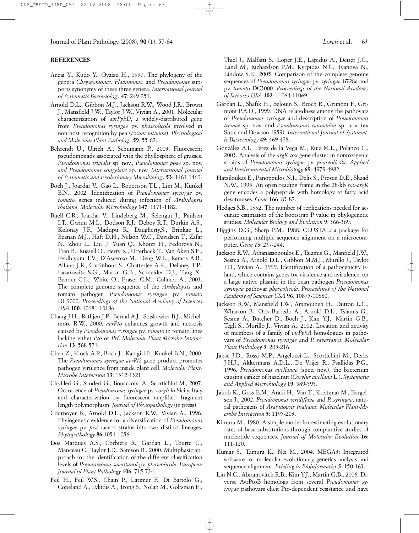### **REFERENCES**

- Anzai Y., Kudo Y., Oyaizu H., 1997. The phylogeny of the genera *Chryseomonas, Flavimonas*, and *Pseudomonas* supports synonymy of these three genera. *International Journal of Systematic Bacteriology* **47**: 249-251.
- Arnold D.L., Gibbon M.J., Jackson R.W., Wood J.R., Brown J., Mansfield J.W., Taylor J.W., Vivian A., 2001. Molecular characterization of *avrPphD*, a widely-distributed gene from *Pseudomonas syringae* pv. *phaseolicola* involved in non-host recognition by pea (*Pisum sativum*). *Physiological and Molecular Plant Pathology* **59**: 55-62.
- Behrendt U., Ulrich A., Schumann P., 2003. Fluorescent pseudomonads associated with the phyllosphere of grasses. *Pseudomonas trivialis* sp. nov., *Pseudomonas poae* sp. nov. *and Pseudomonas congelans* sp. nov. *International Journal of Systematic and Evolutionary Microbiology* **53**: 1461-1469.
- Boch J., Joardar V., Gao L., Robertson T.L., Lim M., Kunkel B.N., 2002. Identification of *Pseudomonas syringae* pv. *tomato* genes induced during infection of *Arabidopsis thaliana*. *Molecular Microbiology* **147**: 1171-1182.
- Buell C.R., Joardar V., Lindeberg M., Selengut J., Paulsen I.T., Gwinn M.L., Dodson R.J., Deboy R.T., Durkin A.S., Kolonay J.F., Madupu R., Daugherty,S., Brinkac L., Beanan M.J., Haft D.H., Nelson W.C., Davidsen T., Zafar N., Zhou L., Liu .J, Yuan Q., Khouri H., Fedorova N., Tran B., Russell D., Berry K., Utterback T., Van Aken S.E., Feldblyum T.V., D'Ascenzo M., Deng W.L., Ramos A.R., Alfano J.R., Cartinhour S., Chatterjee A.K., Delaney T.P., Lazarowitz S.G., Martin G.B., Schneider D.J., Tang X., Bender C.L., White O., Fraser C.M., Collmer A., 2003. The complete genome sequence of the *Arabidopsis* and tomato pathogen *Pseudomonas syringae* pv. *tomato* DC3000. *Proceedings of the National Academy of Sciences USA* **100**: 10181-10186.
- Chang J.H., Rathjen J.P., Bernal A.J., Staskawicz B.J., Michelmore R.W., 2000. *avrPto* enhances growth and necrosis caused by *Pseudomonas syringae* pv. *tomato* in tomato lines lacking either *Pto* or *Prf*. *Molecular Plant-Microbe Interaction* **13**: 568-571.
- Chen Z., Kloek A.P., Boch J., Katagiri F., Kunkel B.N., 2000. The *Pseudomonas syringae avrPt2* gene product promotes pathogen virulence from inside plant cell. *Molecular Plant-Microbe Interaction* **13**: 1312-1321.
- Cirvilleri G., Scuderi G., Bonaccorsi A., Scortichini M., 2007. Occurrence of *Pseudomonas syringae* pv. *coryli* in Sicily, Italy and characterization by fluorescent amplified fragment length polymorphism. *Journal of Phytopathology* (in press).
- Cournoyer B., Arnold D.L., Jackson R.W., Vivian A., 1996. Phylogenetic evidence for a diversification of *Pseudomonas syringae* pv. *pisi* race 4 strains into two distinct lineages. *Phytopathology* **86**:1051-1056.
- Dos Marques A.S., Corbière R., Gardan L., Tourte C., Manceau C., Taylor J.D., Samson R., 2000. Multiphasic approach for the identification of the different classification levels of *Pseudomonas savastanoi* pv. *phaseolicola*. *European Journal of Plant Pathology* **106**: 715-734.
- Feil H., Feil W.S., Chain P., Larimer F., Di Bartolo G., Copeland A., Lykidis A., Trong S., Nolan M., Goltsman E.,

Thiel J., Malfatti S., Loper J.E., Lapidus A., Detter J.C., Land M., Richardson P.M., Kyrpides N.C., Ivanova N., Lindow S.E., 2005. Comparison of the complete genome sequences of *Pseudomonas syringae* pv. *syringae* B728a and pv. *tomato* DC3000. *Proceedings of the National Academy of Sciences USA* **102**: 11064-11069.

- Gardan L., Shafik H., Belouin S., Broch R., Grimont F., Grimont P.A.D., 1999. DNA relatedness among the pathovars of *Pseudomonas syringae* and description of *Pseudomonas tremae* sp. nov. and *Pseudomonas cannabina* sp. nov. (ex Sutic and Dowson 1959). *International Journal of Systematic Bacteriology* **49**: 469-478.
- González A.I., Pérez de la Vega M., Ruiz M.L., Polanco C., 2003. Analysis of the *argK-tox* gene cluster in nontoxigenic strains of *Pseudomonas syringae* pv. *phaseolicola*. *Applied and Environmental Microbiology* **69**: 4979-4982.
- Hatziloukas E., Panopoulos N.J., Delis S., Prosen D.E., Shaad N.W., 1995. An open reading frame in the 28-kb *tox-argK* gene encodes a polypeptide with homology to fatty acid desaturases. *Gene* **166**: 83-87.
- Hedges S.B., 1992. The number of replications needed for accurate estimation of the bootstrap P value in phylogenetic studies. *Molecular Biology and Evolution* **9**: 366-369.
- Higgins D.G., Sharp P.M., 1988. CLUSTAL: a package for performing multiple sequence alignment on a microcomputer. *Gene* **73**: 237-244.
- Jackson R.W., Athanassopoulos E., Tsiamis G., Manfield J.W., Sesma A., Arnold D.L., Gibbon M.M.J., Murillo J., Taylor J.D., Vivian A., 1999. Identification of a pathogenicity island, which contains genes for virulence and avirulence, on a large native plasmid in the bean pathogen *Pseudomonas syringae* pathovar *phaseolicola*. *Proceedings of the National Academy of Sciences USA* **96***:* 10875-10880.
- Jackson R.W., Mansfield J.W., Ammouneh H., Dutton L.C., Wharton B., Ortz-Barredo A., Arnold D.L., Tsiamis G., Sesma A., Butcher D., Boch J., Kim Y.J., Martin G.B., Tegli S., Murillo J., Vivian A., 2002. Location and activity of members of a family of *virPphA* homologues in pathovars of *Pseudomonas syringae* and *P. savastanoi*. *Molecular Plant Pathology* **3**: 205-216.
- Janse J.D., Rossi M.P., Angelucci L., Scortichini M., Derks J.H.J., Akkermans A.D.L., De Vrijer R., Psallidas P.G., 1996. *Pseudomonas avellanae* (spec. nov.), the bacterium causing canker of hazelnut (*Corylus avellana* L.). *Systematic and Applied Microbiology* **19**: 589-595.
- Jakob K., Goss E.M., Araki H., Van T., Kreitman M., Bergelson J., 2002. *Pseudomonas viridiflava* and *P. syringae*, natural pathogens of *Arabidopsis thaliana*. *Molecular Plant-Microbe Interaction* **5**: 1195-203.
- Kimura M., 1980. A simple model for estimating evolutionary rates of base substitutions through comparative studies of nucleotide sequences. *Journal of Molecular Evolution* **16**: 111-120.
- Kumar S., Tamura K., Nei M., 2004. MEGA3: Integrated software for molecular evolutionary genetics analysis and sequence alignment. *Briefing in Bioinformatics* **5**: 150-163.
- Lin N.C., Abramovitch R.B., Kim Y.J., Martin G.B., 2006. Diverse AvrPtoB homologs from several *Pseudomonas syringae* pathovars elicit Pto-dependent resistance and have